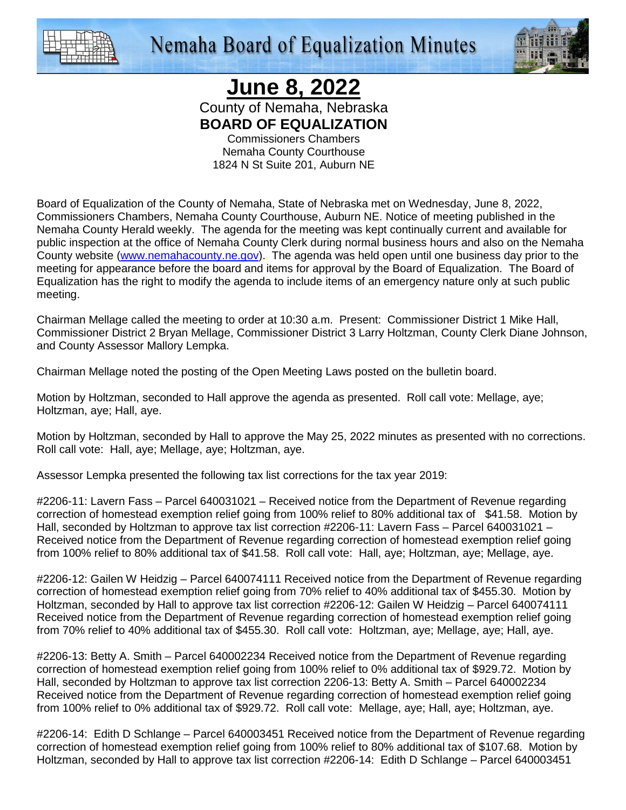

**Nemaha Board of Equalization Minutes** 



## **June 8, 2022**

County of Nemaha, Nebraska **BOARD OF EQUALIZATION** 

Commissioners Chambers Nemaha County Courthouse 1824 N St Suite 201, Auburn NE

Board of Equalization of the County of Nemaha, State of Nebraska met on Wednesday, June 8, 2022, Commissioners Chambers, Nemaha County Courthouse, Auburn NE. Notice of meeting published in the Nemaha County Herald weekly. The agenda for the meeting was kept continually current and available for public inspection at the office of Nemaha County Clerk during normal business hours and also on the Nemaha County website (www.nemahacounty.ne.gov). The agenda was held open until one business day prior to the meeting for appearance before the board and items for approval by the Board of Equalization. The Board of Equalization has the right to modify the agenda to include items of an emergency nature only at such public meeting.

Chairman Mellage called the meeting to order at 10:30 a.m. Present: Commissioner District 1 Mike Hall, Commissioner District 2 Bryan Mellage, Commissioner District 3 Larry Holtzman, County Clerk Diane Johnson, and County Assessor Mallory Lempka.

Chairman Mellage noted the posting of the Open Meeting Laws posted on the bulletin board.

Motion by Holtzman, seconded to Hall approve the agenda as presented. Roll call vote: Mellage, aye; Holtzman, aye; Hall, aye.

Motion by Holtzman, seconded by Hall to approve the May 25, 2022 minutes as presented with no corrections. Roll call vote: Hall, aye; Mellage, aye; Holtzman, aye.

Assessor Lempka presented the following tax list corrections for the tax year 2019:

#2206-11: Lavern Fass – Parcel 640031021 – Received notice from the Department of Revenue regarding correction of homestead exemption relief going from 100% relief to 80% additional tax of \$41.58. Motion by Hall, seconded by Holtzman to approve tax list correction #2206-11: Lavern Fass – Parcel 640031021 – Received notice from the Department of Revenue regarding correction of homestead exemption relief going from 100% relief to 80% additional tax of \$41.58. Roll call vote: Hall, aye; Holtzman, aye; Mellage, aye.

#2206-12: Gailen W Heidzig – Parcel 640074111 Received notice from the Department of Revenue regarding correction of homestead exemption relief going from 70% relief to 40% additional tax of \$455.30. Motion by Holtzman, seconded by Hall to approve tax list correction #2206-12: Gailen W Heidzig – Parcel 640074111 Received notice from the Department of Revenue regarding correction of homestead exemption relief going from 70% relief to 40% additional tax of \$455.30. Roll call vote: Holtzman, aye; Mellage, aye; Hall, aye.

#2206-13: Betty A. Smith – Parcel 640002234 Received notice from the Department of Revenue regarding correction of homestead exemption relief going from 100% relief to 0% additional tax of \$929.72. Motion by Hall, seconded by Holtzman to approve tax list correction 2206-13: Betty A. Smith – Parcel 640002234 Received notice from the Department of Revenue regarding correction of homestead exemption relief going from 100% relief to 0% additional tax of \$929.72. Roll call vote: Mellage, aye; Hall, aye; Holtzman, aye.

#2206-14: Edith D Schlange – Parcel 640003451 Received notice from the Department of Revenue regarding correction of homestead exemption relief going from 100% relief to 80% additional tax of \$107.68. Motion by Holtzman, seconded by Hall to approve tax list correction #2206-14: Edith D Schlange – Parcel 640003451